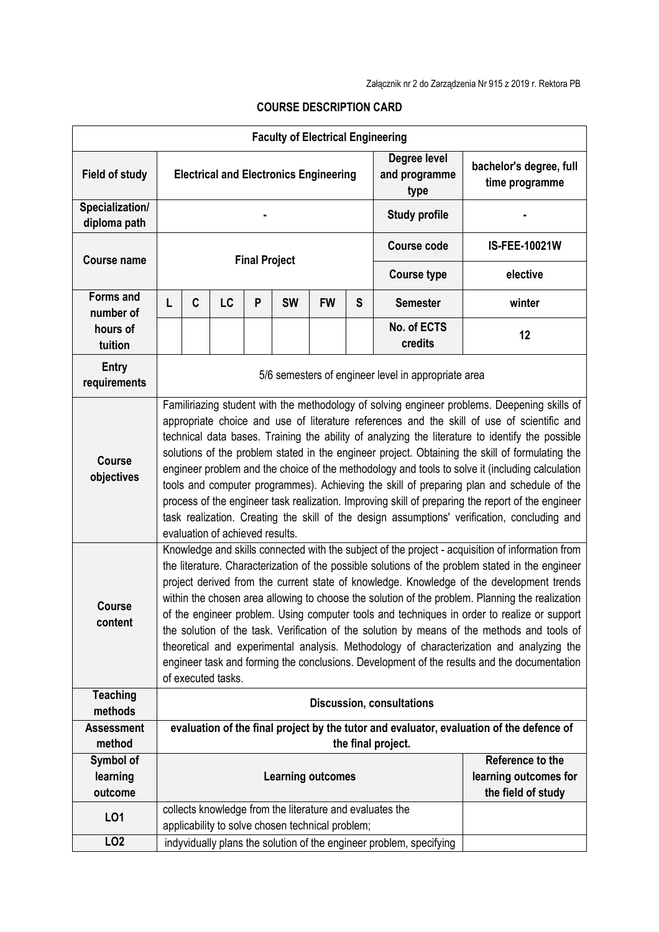|                                 |                                                                                                                                                                                                                                                                                                                                                                                                                                                                                                                                                                                                                                                                                                                                                                                                                                          |                                                                                                                                                                                                                                                                                                                                                                                                                                                                                                                                                                                                                                                                                                                                                                                                                    |    |   | <b>Faculty of Electrical Engineering</b>         |           |                                             |                                                                     |                                                                                          |  |
|---------------------------------|------------------------------------------------------------------------------------------------------------------------------------------------------------------------------------------------------------------------------------------------------------------------------------------------------------------------------------------------------------------------------------------------------------------------------------------------------------------------------------------------------------------------------------------------------------------------------------------------------------------------------------------------------------------------------------------------------------------------------------------------------------------------------------------------------------------------------------------|--------------------------------------------------------------------------------------------------------------------------------------------------------------------------------------------------------------------------------------------------------------------------------------------------------------------------------------------------------------------------------------------------------------------------------------------------------------------------------------------------------------------------------------------------------------------------------------------------------------------------------------------------------------------------------------------------------------------------------------------------------------------------------------------------------------------|----|---|--------------------------------------------------|-----------|---------------------------------------------|---------------------------------------------------------------------|------------------------------------------------------------------------------------------|--|
| <b>Field of study</b>           | <b>Electrical and Electronics Engineering</b>                                                                                                                                                                                                                                                                                                                                                                                                                                                                                                                                                                                                                                                                                                                                                                                            |                                                                                                                                                                                                                                                                                                                                                                                                                                                                                                                                                                                                                                                                                                                                                                                                                    |    |   |                                                  |           | Degree level<br>and programme<br>type       | bachelor's degree, full<br>time programme                           |                                                                                          |  |
| Specialization/<br>diploma path |                                                                                                                                                                                                                                                                                                                                                                                                                                                                                                                                                                                                                                                                                                                                                                                                                                          |                                                                                                                                                                                                                                                                                                                                                                                                                                                                                                                                                                                                                                                                                                                                                                                                                    |    |   |                                                  |           | <b>Study profile</b>                        |                                                                     |                                                                                          |  |
| <b>Course name</b>              | <b>Final Project</b>                                                                                                                                                                                                                                                                                                                                                                                                                                                                                                                                                                                                                                                                                                                                                                                                                     |                                                                                                                                                                                                                                                                                                                                                                                                                                                                                                                                                                                                                                                                                                                                                                                                                    |    |   |                                                  |           |                                             | <b>Course code</b>                                                  | IS-FEE-10021W                                                                            |  |
|                                 |                                                                                                                                                                                                                                                                                                                                                                                                                                                                                                                                                                                                                                                                                                                                                                                                                                          |                                                                                                                                                                                                                                                                                                                                                                                                                                                                                                                                                                                                                                                                                                                                                                                                                    |    |   |                                                  |           |                                             | <b>Course type</b>                                                  | elective                                                                                 |  |
| <b>Forms and</b><br>number of   | L                                                                                                                                                                                                                                                                                                                                                                                                                                                                                                                                                                                                                                                                                                                                                                                                                                        | C                                                                                                                                                                                                                                                                                                                                                                                                                                                                                                                                                                                                                                                                                                                                                                                                                  | LC | P | <b>SW</b>                                        | <b>FW</b> | S                                           | <b>Semester</b>                                                     | winter                                                                                   |  |
| hours of                        |                                                                                                                                                                                                                                                                                                                                                                                                                                                                                                                                                                                                                                                                                                                                                                                                                                          |                                                                                                                                                                                                                                                                                                                                                                                                                                                                                                                                                                                                                                                                                                                                                                                                                    |    |   |                                                  |           |                                             | No. of ECTS                                                         | 12                                                                                       |  |
| tuition                         |                                                                                                                                                                                                                                                                                                                                                                                                                                                                                                                                                                                                                                                                                                                                                                                                                                          |                                                                                                                                                                                                                                                                                                                                                                                                                                                                                                                                                                                                                                                                                                                                                                                                                    |    |   |                                                  |           |                                             | credits                                                             |                                                                                          |  |
| <b>Entry</b><br>requirements    | 5/6 semesters of engineer level in appropriate area                                                                                                                                                                                                                                                                                                                                                                                                                                                                                                                                                                                                                                                                                                                                                                                      |                                                                                                                                                                                                                                                                                                                                                                                                                                                                                                                                                                                                                                                                                                                                                                                                                    |    |   |                                                  |           |                                             |                                                                     |                                                                                          |  |
| <b>Course</b><br>objectives     | Familiriazing student with the methodology of solving engineer problems. Deepening skills of<br>appropriate choice and use of literature references and the skill of use of scientific and<br>technical data bases. Training the ability of analyzing the literature to identify the possible<br>solutions of the problem stated in the engineer project. Obtaining the skill of formulating the<br>engineer problem and the choice of the methodology and tools to solve it (including calculation<br>tools and computer programmes). Achieving the skill of preparing plan and schedule of the<br>process of the engineer task realization. Improving skill of preparing the report of the engineer<br>task realization. Creating the skill of the design assumptions' verification, concluding and<br>evaluation of achieved results. |                                                                                                                                                                                                                                                                                                                                                                                                                                                                                                                                                                                                                                                                                                                                                                                                                    |    |   |                                                  |           |                                             |                                                                     |                                                                                          |  |
| <b>Course</b><br>content        |                                                                                                                                                                                                                                                                                                                                                                                                                                                                                                                                                                                                                                                                                                                                                                                                                                          | Knowledge and skills connected with the subject of the project - acquisition of information from<br>the literature. Characterization of the possible solutions of the problem stated in the engineer<br>project derived from the current state of knowledge. Knowledge of the development trends<br>within the chosen area allowing to choose the solution of the problem. Planning the realization<br>of the engineer problem. Using computer tools and techniques in order to realize or support<br>the solution of the task. Verification of the solution by means of the methods and tools of<br>theoretical and experimental analysis. Methodology of characterization and analyzing the<br>engineer task and forming the conclusions. Development of the results and the documentation<br>of executed tasks. |    |   |                                                  |           |                                             |                                                                     |                                                                                          |  |
| <b>Teaching</b><br>methods      | <b>Discussion, consultations</b>                                                                                                                                                                                                                                                                                                                                                                                                                                                                                                                                                                                                                                                                                                                                                                                                         |                                                                                                                                                                                                                                                                                                                                                                                                                                                                                                                                                                                                                                                                                                                                                                                                                    |    |   |                                                  |           |                                             |                                                                     |                                                                                          |  |
| <b>Assessment</b>               |                                                                                                                                                                                                                                                                                                                                                                                                                                                                                                                                                                                                                                                                                                                                                                                                                                          |                                                                                                                                                                                                                                                                                                                                                                                                                                                                                                                                                                                                                                                                                                                                                                                                                    |    |   |                                                  |           |                                             |                                                                     | evaluation of the final project by the tutor and evaluator, evaluation of the defence of |  |
| method                          |                                                                                                                                                                                                                                                                                                                                                                                                                                                                                                                                                                                                                                                                                                                                                                                                                                          |                                                                                                                                                                                                                                                                                                                                                                                                                                                                                                                                                                                                                                                                                                                                                                                                                    |    |   |                                                  |           |                                             | the final project.                                                  |                                                                                          |  |
| Symbol of                       | <b>Learning outcomes</b>                                                                                                                                                                                                                                                                                                                                                                                                                                                                                                                                                                                                                                                                                                                                                                                                                 |                                                                                                                                                                                                                                                                                                                                                                                                                                                                                                                                                                                                                                                                                                                                                                                                                    |    |   |                                                  |           |                                             | Reference to the                                                    |                                                                                          |  |
| learning<br>outcome             |                                                                                                                                                                                                                                                                                                                                                                                                                                                                                                                                                                                                                                                                                                                                                                                                                                          |                                                                                                                                                                                                                                                                                                                                                                                                                                                                                                                                                                                                                                                                                                                                                                                                                    |    |   |                                                  |           | learning outcomes for<br>the field of study |                                                                     |                                                                                          |  |
|                                 |                                                                                                                                                                                                                                                                                                                                                                                                                                                                                                                                                                                                                                                                                                                                                                                                                                          | collects knowledge from the literature and evaluates the                                                                                                                                                                                                                                                                                                                                                                                                                                                                                                                                                                                                                                                                                                                                                           |    |   |                                                  |           |                                             |                                                                     |                                                                                          |  |
| L01                             |                                                                                                                                                                                                                                                                                                                                                                                                                                                                                                                                                                                                                                                                                                                                                                                                                                          |                                                                                                                                                                                                                                                                                                                                                                                                                                                                                                                                                                                                                                                                                                                                                                                                                    |    |   | applicability to solve chosen technical problem; |           |                                             |                                                                     |                                                                                          |  |
| LO <sub>2</sub>                 |                                                                                                                                                                                                                                                                                                                                                                                                                                                                                                                                                                                                                                                                                                                                                                                                                                          |                                                                                                                                                                                                                                                                                                                                                                                                                                                                                                                                                                                                                                                                                                                                                                                                                    |    |   |                                                  |           |                                             | indyvidually plans the solution of the engineer problem, specifying |                                                                                          |  |

## **COURSE DESCRIPTION CARD**